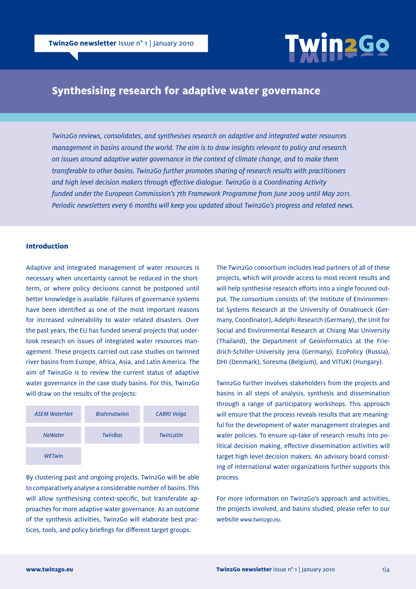

# **Synthesising research for adaptive water governance**

*Twin2Go reviews, consolidates, and synthesises research on adaptive and integrated water resources management in basins around the world. The aim is to draw insights relevant to policy and research on issues around adaptive water governance in the context of climate change, and to make them transferable to other basins. Twin2Go further promotes sharing of research results with practitioners and high level decision makers through effective dialogue. Twin2Go is a Coordinating Activity funded under the European Commission's 7th Framework Programme from June 2009 until May 2011. Periodic newsletters every 6 months will keep you updated about Twin2Go's progress and related news.*

### **Introduction**

Adaptive and integrated management of water resources is necessary when uncertainty cannot be reduced in the shortterm, or where policy decisions cannot be postponed until better knowledge is available. Failures of governance systems have been identified as one of the most important reasons for increased vulnerability to water related disasters. Over the past years, the EU has funded several projects that undertook research on issues of integrated water resources management. These projects carried out case studies on twinned river basins from Europe, Africa, Asia, and Latin America. The aim of Twin2Go is to review the current status of adaptive water governance in the case study basins. For this, Twin2Go will draw on the results of the projects:



By clustering past and ongoing projects, Twin2Go will be able to comparatively analyse a considerable number of basins. This will allow synthesising context-specific, but transferable approaches for more adaptive water governance. As an outcome of the synthesis activities, Twin2Go will elaborate best practices, tools, and policy briefings for different target groups.

The Twin2Go consortium includes lead partners of all of these projects, which will provide access to most recent results and will help synthesise research efforts into a single focused output. The consortium consists of: the Institute of Environmental Systems Research at the University of Osnabrueck (Germany, Coordinator), Adelphi Research (Germany), the Unit for Social and Environmental Research at Chiang Mai University (Thailand), the Department of Geoinformatics at the Friedrich-Schiller-University Jena (Germany), EcoPolicy (Russia), DHI (Denmark), Soresma (Belgium), and VITUKI (Hungary).

Twin2Go further involves stakeholders from the projects and basins in all steps of analysis, synthesis and dissemination through a range of participatory workshops. This approach will ensure that the process reveals results that are meaningful for the development of water management strategies and water policies. To ensure up-take of research results into political decision making, effective dissemination activities will target high level decision makers. An advisory board consisting of international water organizations further supports this process.

For more information on Twin2Go's approach and activities, the projects involved, and basins studied, please refer to our website *www.twin2go.eu*.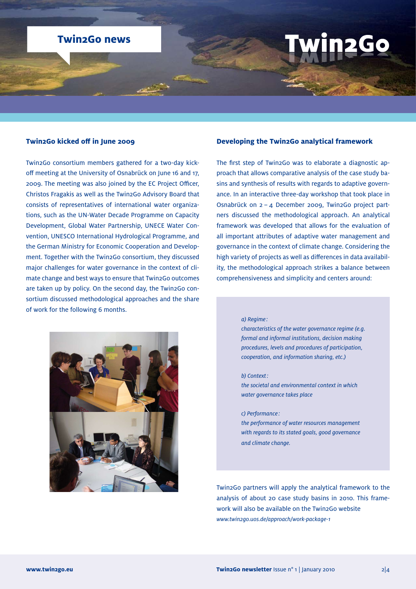# **Twin2Go news**

#### **Twin2Go kicked off in June 2009**

Twin2Go consortium members gathered for a two-day kickoff meeting at the University of Osnabrück on June 16 and 17, 2009. The meeting was also joined by the EC Project Officer, Christos Fragakis as well as the Twin2Go Advisory Board that consists of representatives of international water organizations, such as the UN-Water Decade Programme on Capacity Development, Global Water Partnership, UNECE Water Convention, UNESCO International Hydrological Programme, and the German Ministry for Economic Cooperation and Development. Together with the Twin2Go consortium, they discussed major challenges for water governance in the context of climate change and best ways to ensure that Twin2Go outcomes are taken up by policy. On the second day, the Twin2Go consortium discussed methodological approaches and the share of work for the following 6 months.

#### **Developing the Twin2Go analytical framework**

The first step of Twin2Go was to elaborate a diagnostic approach that allows comparative analysis of the case study basins and synthesis of results with regards to adaptive governance. In an interactive three-day workshop that took place in Osnabrück on 2 – 4 December 2009, Twin2Go project partners discussed the methodological approach. An analytical framework was developed that allows for the evaluation of all important attributes of adaptive water management and governance in the context of climate change. Considering the high variety of projects as well as differences in data availability, the methodological approach strikes a balance between comprehensiveness and simplicity and centers around:

#### *a) Regime :*

 *characteristics of the water governance regime (e.g. formal and informal institutions, decision making procedures, levels and procedures of participation, cooperation, and information sharing, etc.)*

#### *b) Context:*

 *the societal and environmental context in which water governance takes place*

#### *c) Performance :*

 *the performance of water resources management with regards to its stated goals, good governance and climate change.*

Twin2Go partners will apply the analytical framework to the analysis of about 20 case study basins in 2010. This framework will also be available on the Twin2Go website *www.twin2go.uos.de/approach/work-package-1*

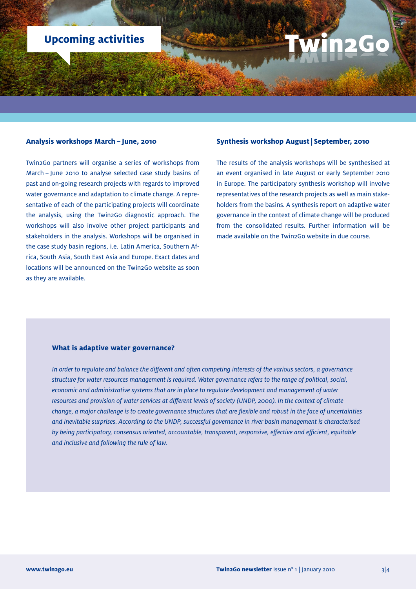# **Upcoming activities**

#### **Analysis workshops March – June, 2010**

Twin2Go partners will organise a series of workshops from March – June 2010 to analyse selected case study basins of past and on-going research projects with regards to improved water governance and adaptation to climate change. A representative of each of the participating projects will coordinate the analysis, using the Twin2Go diagnostic approach. The workshops will also involve other project participants and stakeholders in the analysis. Workshops will be organised in the case study basin regions, i.e. Latin America, Southern Africa, South Asia, South East Asia and Europe. Exact dates and locations will be announced on the Twin2Go website as soon as they are available.

#### **Synthesis workshop August| September, 2010**

The results of the analysis workshops will be synthesised at an event organised in late August or early September 2010 in Europe. The participatory synthesis workshop will involve representatives of the research projects as well as main stakeholders from the basins. A synthesis report on adaptive water governance in the context of climate change will be produced from the consolidated results. Further information will be made available on the Twin2Go website in due course.

#### **What is adaptive water governance?**

*In order to regulate and balance the different and often competing interests of the various sectors, a governance structure for water resources management is required. Water governance refers to the range of political, social, economic and administrative systems that are in place to regulate development and management of water resources and provision of water services at different levels of society (UNDP, 2000). In the context of climate change, a major challenge is to create governance structures that are flexible and robust in the face of uncertainties and inevitable surprises. According to the UNDP, successful governance in river basin management is characterised by being participatory, consensus oriented, accountable, transparent, responsive, effective and efficient, equitable and inclusive and following the rule of law.*